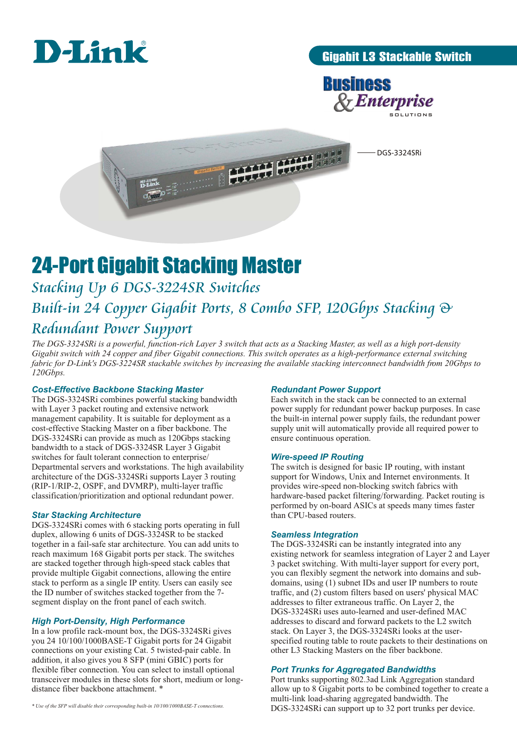

### Gigabit L3 Stackable Switch



DGS-3324SRi

# 24-Port Gigabit Stacking Master

# *Stacking Up 6 DGS-3224SR Switches Built-in 24 Copper Gigabit Ports, 8 Combo SFP, 120Gbps Stacking & Redundant Power Support*

*The DGS-3324SRi is a powerful, function-rich Layer 3 switch that acts as a Stacking Master, as well as a high port-density Gigabit switch with 24 copper and fiber Gigabit connections. This switch operates as a high-performance external switching fabric for D-Link's DGS-3224SR stackable switches by increasing the available stacking interconnect bandwidth from 20Gbps to 120Gbps.* 

**CONTRACTOR** 

#### *Cost-Effective Backbone Stacking Master*

The DGS-3324SRi combines powerful stacking bandwidth with Layer 3 packet routing and extensive network management capability. It is suitable for deployment as a cost-effective Stacking Master on a fiber backbone. The DGS-3324SRi can provide as much as 120Gbps stacking bandwidth to a stack of DGS-3324SR Layer 3 Gigabit switches for fault tolerant connection to enterprise/ Departmental servers and workstations. The high availability architecture of the DGS-3324SRi supports Layer 3 routing (RIP-1/RIP-2, OSPF, and DVMRP), multi-layer traffic classification/prioritization and optional redundant power.

#### *Star Stacking Architecture*

DGS-3324SRi comes with 6 stacking ports operating in full duplex, allowing 6 units of DGS-3324SR to be stacked together in a fail-safe star architecture. You can add units to reach maximum 168 Gigabit ports per stack. The switches are stacked together through high-speed stack cables that provide multiple Gigabit connections, allowing the entire stack to perform as a single IP entity. Users can easily see the ID number of switches stacked together from the 7 segment display on the front panel of each switch.

#### *High Port-Density, High Performance*

In a low profile rack-mount box, the DGS-3324SRi gives you 24 10/100/1000BASE-T Gigabit ports for 24 Gigabit connections on your existing Cat. 5 twisted-pair cable. In addition, it also gives you 8 SFP (mini GBIC) ports for flexible fiber connection. You can select to install optional transceiver modules in these slots for short, medium or longdistance fiber backbone attachment. \*

*\* Use of the SFP will disable their corresponding built-in 10/100/1000BASE-T connections.*

#### *Redundant Power Support*

Each switch in the stack can be connected to an external power supply for redundant power backup purposes. In case the built-in internal power supply fails, the redundant power supply unit will automatically provide all required power to ensure continuous operation.

#### *Wire-speed IP Routing*

The switch is designed for basic IP routing, with instant support for Windows, Unix and Internet environments. It provides wire-speed non-blocking switch fabrics with hardware-based packet filtering/forwarding. Packet routing is performed by on-board ASICs at speeds many times faster than CPU-based routers.

#### *Seamless Integration*

The DGS-3324SRi can be instantly integrated into any existing network for seamless integration of Layer 2 and Layer 3 packet switching. With multi-layer support for every port, you can flexibly segment the network into domains and subdomains, using (1) subnet IDs and user IP numbers to route traffic, and (2) custom filters based on users' physical MAC addresses to filter extraneous traffic. On Layer 2, the DGS-3324SRi uses auto-learned and user-defined MAC addresses to discard and forward packets to the L2 switch stack. On Layer 3, the DGS-3324SRi looks at the userspecified routing table to route packets to their destinations on other L3 Stacking Masters on the fiber backbone.

#### *Port Trunks for Aggregated Bandwidths*

Port trunks supporting 802.3ad Link Aggregation standard allow up to 8 Gigabit ports to be combined together to create a multi-link load-sharing aggregated bandwidth. The DGS-3324SRi can support up to 32 port trunks per device.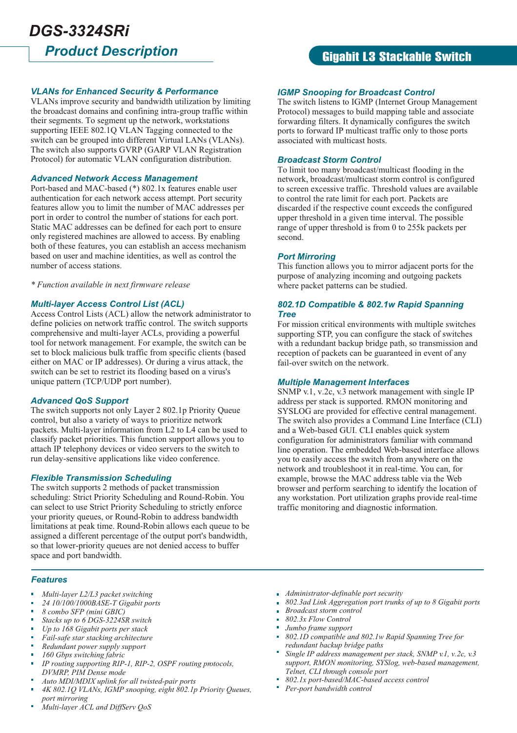## Gigabit L3 Stackable Switch

#### *VLANs for Enhanced Security & Performance*

VLANs improve security and bandwidth utilization by limiting the broadcast domains and confining intra-group traffic within their segments. To segment up the network, workstations supporting IEEE 802.1Q VLAN Tagging connected to the switch can be grouped into different Virtual LANs (VLANs). The switch also supports GVRP (GARP VLAN Registration Protocol) for automatic VLAN configuration distribution.

#### *Advanced Network Access Management*

Port-based and MAC-based (\*) 802.1x features enable user authentication for each network access attempt. Port security features allow you to limit the number of MAC addresses per port in order to control the number of stations for each port. Static MAC addresses can be defined for each port to ensure only registered machines are allowed to access. By enabling both of these features, you can establish an access mechanism based on user and machine identities, as well as control the number of access stations.

*\* Function available in next firmware release* 

#### *Multi-layer Access Control List (ACL)*

Access Control Lists (ACL) allow the network administrator to define policies on network traffic control. The switch supports comprehensive and multi-layer ACLs, providing a powerful tool for network management. For example, the switch can be set to block malicious bulk traffic from specific clients (based either on MAC or IP addresses). Or during a virus attack, the switch can be set to restrict its flooding based on a virus's unique pattern (TCP/UDP port number).

#### *Advanced QoS Support*

The switch supports not only Layer 2 802.1p Priority Queue control, but also a variety of ways to prioritize network packets. Multi-layer information from L2 to L4 can be used to classify packet priorities. This function support allows you to attach IP telephony devices or video servers to the switch to run delay-sensitive applications like video conference.

#### *Flexible Transmission Scheduling*

The switch supports 2 methods of packet transmission scheduling: Strict Priority Scheduling and Round-Robin. You can select to use Strict Priority Scheduling to strictly enforce your priority queues, or Round-Robin to address bandwidth limitations at peak time. Round-Robin allows each queue to be assigned a different percentage of the output port's bandwidth, so that lower-priority queues are not denied access to buffer space and port bandwidth.

#### *IGMP Snooping for Broadcast Control*

The switch listens to IGMP (Internet Group Management Protocol) messages to build mapping table and associate forwarding filters. It dynamically configures the switch ports to forward IP multicast traffic only to those ports associated with multicast hosts.

#### *Broadcast Storm Control*

To limit too many broadcast/multicast flooding in the network, broadcast/multicast storm control is configured to screen excessive traffic. Threshold values are available to control the rate limit for each port. Packets are discarded if the respective count exceeds the configured upper threshold in a given time interval. The possible range of upper threshold is from 0 to 255k packets per second.

#### *Port Mirroring*

This function allows you to mirror adjacent ports for the purpose of analyzing incoming and outgoing packets where packet patterns can be studied.

#### *802.1D Compatible & 802.1w Rapid Spanning Tree*

For mission critical environments with multiple switches supporting STP, you can configure the stack of switches with a redundant backup bridge path, so transmission and reception of packets can be guaranteed in event of any fail-over switch on the network.

#### *Multiple Management Interfaces*

SNMP v.1, v.2c, v.3 network management with single IP address per stack is supported. RMON monitoring and SYSLOG are provided for effective central management. The switch also provides a Command Line Interface (CLI) and a Web-based GUI. CLI enables quick system configuration for administrators familiar with command line operation. The embedded Web-based interface allows you to easily access the switch from anywhere on the network and troubleshoot it in real-time. You can, for example, browse the MAC address table via the Web browser and perform searching to identify the location of any workstation. Port utilization graphs provide real-time traffic monitoring and diagnostic information.

- *Features*
- *Multi-layer L2/L3 packet switching*
- *24 10/100/1000BASE-T Gigabit ports*
- *8 combo SFP (mini GBIC)*
- *Stacks up to 6 DGS-3224SR switch*
- *Up to 168 Gigabit ports per stack*
- *Fail-safe star stacking architecture*
- *Redundant power supply support*
- *160 Gbps switching fabric*
- *IP routing supporting RIP-1, RIP-2, OSPF routing protocols, DVMRP, PIM Dense mode*
- *Auto MDI/MDIX uplink for all twisted-pair ports*
- *4K 802.1Q VLANs, IGMP snooping, eight 802.1p Priority Queues, port mirroring*
- *Multi-layer ACL and DiffServ QoS*
- *Administrator-definable port security*
- *802.3ad Link Aggregation port trunks of up to 8 Gigabit ports*
- *Broadcast storm control*
- *802.3x Flow Control*
- *Jumbo frame support*
- *802.1D compatible and 802.1w Rapid Spanning Tree for redundant backup bridge paths*
- *Single IP address management per stack, SNMP v.1, v.2c, v.3 support, RMON monitoring, SYSlog, web-based management, Telnet, CLI through console port*
- *802.1x port-based/MAC-based access control*
- *Per-port bandwidth control*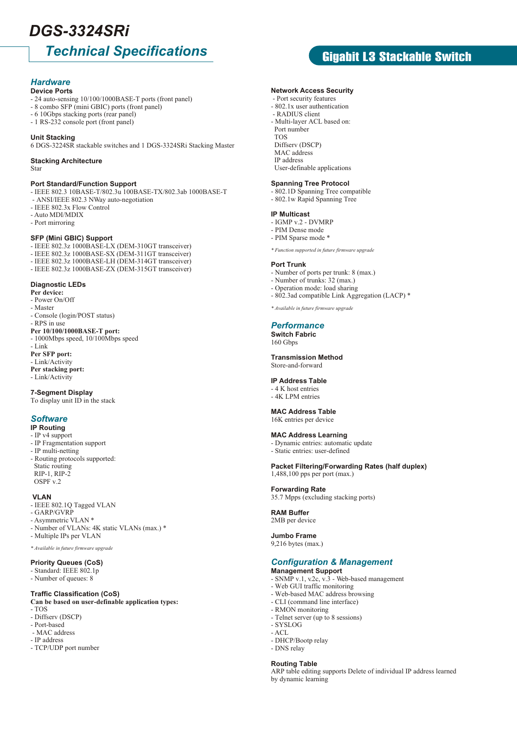# *DGS-3324SRi*

# *Technical Specifications*

#### *Hardware* **Device Ports**

- 24 auto-sensing 10/100/1000BASE-T ports (front panel)
- 8 combo SFP (mini GBIC) ports (front panel)
- 6 10Gbps stacking ports (rear panel)
- 1 RS-232 console port (front panel)

#### **Unit Stacking**

6 DGS-3224SR stackable switches and 1 DGS-3324SRi Stacking Master

#### **Stacking Architecture**

Star

#### **Port Standard/Function Support**

- IEEE 802.3 10BASE-T/802.3u 100BASE-TX/802.3ab 1000BASE-T - ANSI/IEEE 802.3 NWay auto-negotiation
- IEEE 802.3x Flow Control
- Auto MDI/MDIX
- Port mirroring

#### **SFP (Mini GBIC) Support**

- IEEE 802.3z 1000BASE-LX (DEM-310GT transceiver)
- IEEE 802.3z 1000BASE-SX (DEM-311GT transceiver)
- IEEE 802.3z 1000BASE-LH (DEM-314GT transceiver)
- IEEE 802.3z 1000BASE-ZX (DEM-315GT transceiver)

#### **Diagnostic LEDs**

- **Per device:**
- Power On/Off
- Master
- Console (login/POST status) - RPS in use

#### **Per 10/100/1000BASE-T port:**

- 1000Mbps speed, 10/100Mbps speed
- Link
- **Per SFP port:** - Link/Activity
- **Per stacking port:**
- Link/Activity

#### **7-Segment Display**

To display unit ID in the stack

#### *Software*

#### **IP Routing**

- IP v4 support
- IP Fragmentation support
- IP multi-netting - Routing protocols supported: Static routing RIP-1, RIP-2 OSPF v.2

#### **VI AN**

- IEEE 802.1Q Tagged VLAN
- GARP/GVRP
- Asymmetric VLAN \*
- Number of VLANs: 4K static VLANs (max.) \*
- Multiple IPs per VLAN
- *\* Available in future firmware upgrade*

#### **Priority Queues (CoS)**

- Standard: IEEE 802.1p
- Number of queues: 8

#### **Traffic Classification (CoS)**

#### **Can be based on user-definable application types:**

- TOS
- Diffserv (DSCP)
- Port-based
- MAC address - IP address
- TCP/UDP port number

Gigabit L3 Stackable Switch

- **Network Access Security**
- Port security features - 802.1x user authentication
- RADIUS client
- Multi-layer ACL based on:
- Port number
- TOS
- Diffserv (DSCP)
- MAC address IP address
- User-definable applications

#### **Spanning Tree Protocol**

- 802.1D Spanning Tree compatible
- 802.1w Rapid Spanning Tree

#### **IP Multicast**

- IGMP v.2 DVMRP
- PIM Dense mode
- PIM Sparse mode \*
- *\* Function supported in future firmware upgrade*

#### **Port Trunk**

- Number of ports per trunk: 8 (max.)
- Number of trunks: 32 (max.)
- Operation mode: load sharing
- 802.3ad compatible Link Aggregation (LACP) \*
- *\* Available in future firmware upgrade*

#### *Performance*

**Switch Fabric** 160 Gbps

#### **Transmission Method** Store-and-forward

### **IP Address Table**

#### - 4 K host entries

- 4K LPM entries

### **MAC Address Table**

#### 16K entries per device

#### **MAC Address Learning**

- Dynamic entries: automatic update
- Static entries: user-defined

#### **Packet Filtering/Forwarding Rates (half duplex)** 1,488,100 pps per port (max.)

#### **Forwarding Rate**

35.7 Mpps (excluding stacking ports)

#### **RAM Buffer**

### 2MB per device

**Jumbo Frame** 9,216 bytes (max.)

- SYSLOG - ACL

- DHCP/Bootp relay - DNS relay **Routing Table**

by dynamic learning

#### **Management Support** *Configuration & Management*

ARP table editing supports Delete of individual IP address learned

- SNMP v.1, v.2c, v.3 Web-based management
- Web GUI traffic monitoring - Web-based MAC address browsing

- CLI (command line interface) - RMON monitoring

- Telnet server (up to 8 sessions)